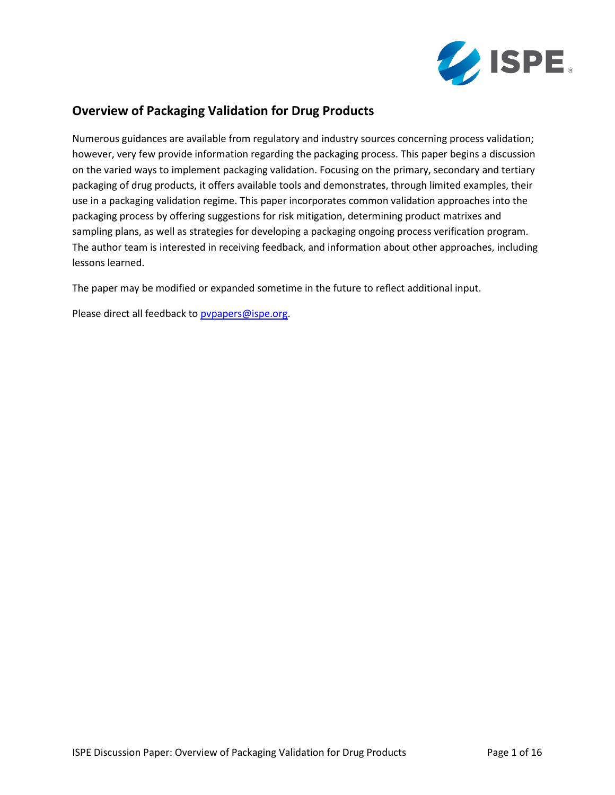

#### **Overview of Packaging Validation for Drug Products**

Numerous guidances are available from regulatory and industry sources concerning process validation; however, very few provide information regarding the packaging process. This paper begins a discussion on the varied ways to implement packaging validation. Focusing on the primary, secondary and tertiary packaging of drug products, it offers available tools and demonstrates, through limited examples, their use in a packaging validation regime. This paper incorporates common validation approaches into the packaging process by offering suggestions for risk mitigation, determining product matrixes and sampling plans, as well as strategies for developing a packaging ongoing process verification program. The author team is interested in receiving feedback, and information about other approaches, including lessons learned.

The paper may be modified or expanded sometime in the future to reflect additional input.

Please direct all feedback to pypapers@ispe.org.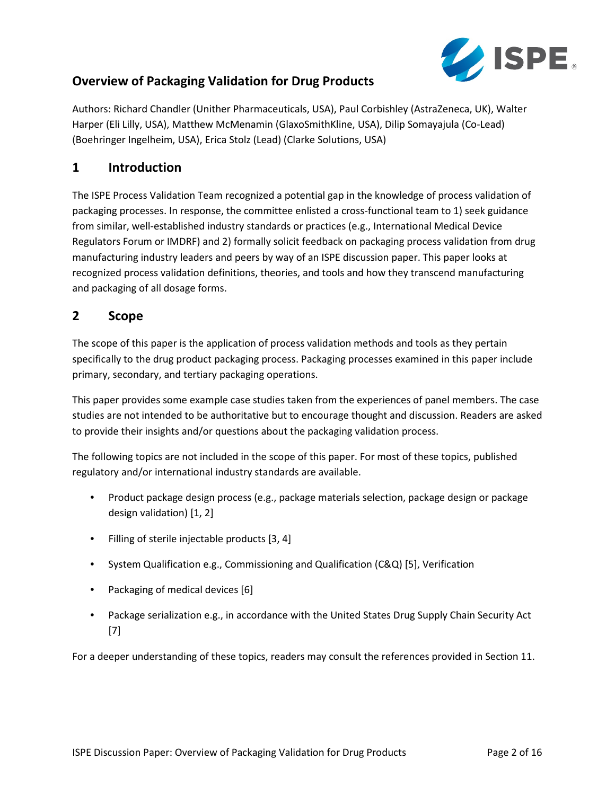

### **Overview of Packaging Validation for Drug Products**

Authors: Richard Chandler (Unither Pharmaceuticals, USA), Paul Corbishley (AstraZeneca, UK), Walter Harper (Eli Lilly, USA), Matthew McMenamin (GlaxoSmithKline, USA), Dilip Somayajula (Co-Lead) (Boehringer Ingelheim, USA), Erica Stolz (Lead) (Clarke Solutions, USA)

#### **1 Introduction**

The ISPE Process Validation Team recognized a potential gap in the knowledge of process validation of packaging processes. In response, the committee enlisted a cross-functional team to 1) seek guidance from similar, well-established industry standards or practices (e.g., International Medical Device Regulators Forum or IMDRF) and 2) formally solicit feedback on packaging process validation from drug manufacturing industry leaders and peers by way of an ISPE discussion paper. This paper looks at recognized process validation definitions, theories, and tools and how they transcend manufacturing and packaging of all dosage forms.

#### **2 Scope**

The scope of this paper is the application of process validation methods and tools as they pertain specifically to the drug product packaging process. Packaging processes examined in this paper include primary, secondary, and tertiary packaging operations.

This paper provides some example case studies taken from the experiences of panel members. The case studies are not intended to be authoritative but to encourage thought and discussion. Readers are asked to provide their insights and/or questions about the packaging validation process.

The following topics are not included in the scope of this paper. For most of these topics, published regulatory and/or international industry standards are available.

- Product package design process (e.g., package materials selection, package design or package design validation) [1, 2]
- Filling of sterile injectable products [3, 4]
- System Qualification e.g., Commissioning and Qualification (C&Q) [5], Verification
- Packaging of medical devices [6]
- Package serialization e.g., in accordance with the United States Drug Supply Chain Security Act [7]

For a deeper understanding of these topics, readers may consult the references provided in Section 11.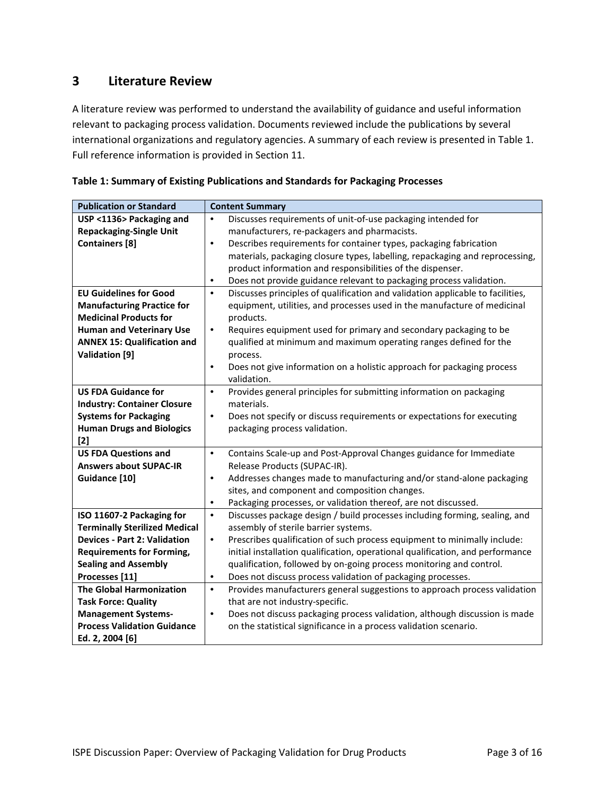#### **3 Literature Review**

A literature review was performed to understand the availability of guidance and useful information relevant to packaging process validation. Documents reviewed include the publications by several international organizations and regulatory agencies. A summary of each review is presented in Table 1. Full reference information is provided in Section 11.

| <b>Publication or Standard</b>       | <b>Content Summary</b>                                                                      |  |  |  |
|--------------------------------------|---------------------------------------------------------------------------------------------|--|--|--|
| USP <1136> Packaging and             | Discusses requirements of unit-of-use packaging intended for<br>$\bullet$                   |  |  |  |
| <b>Repackaging-Single Unit</b>       | manufacturers, re-packagers and pharmacists.                                                |  |  |  |
| <b>Containers</b> [8]                | Describes requirements for container types, packaging fabrication<br>$\bullet$              |  |  |  |
|                                      | materials, packaging closure types, labelling, repackaging and reprocessing,                |  |  |  |
|                                      | product information and responsibilities of the dispenser.                                  |  |  |  |
|                                      | Does not provide guidance relevant to packaging process validation.<br>$\bullet$            |  |  |  |
| <b>EU Guidelines for Good</b>        | Discusses principles of qualification and validation applicable to facilities,<br>$\bullet$ |  |  |  |
| <b>Manufacturing Practice for</b>    | equipment, utilities, and processes used in the manufacture of medicinal                    |  |  |  |
| <b>Medicinal Products for</b>        | products.                                                                                   |  |  |  |
| <b>Human and Veterinary Use</b>      | Requires equipment used for primary and secondary packaging to be<br>$\bullet$              |  |  |  |
| <b>ANNEX 15: Qualification and</b>   | qualified at minimum and maximum operating ranges defined for the                           |  |  |  |
| <b>Validation</b> [9]                | process.                                                                                    |  |  |  |
|                                      | Does not give information on a holistic approach for packaging process<br>$\bullet$         |  |  |  |
|                                      | validation.                                                                                 |  |  |  |
| <b>US FDA Guidance for</b>           | Provides general principles for submitting information on packaging<br>$\bullet$            |  |  |  |
| <b>Industry: Container Closure</b>   | materials.                                                                                  |  |  |  |
| <b>Systems for Packaging</b>         | Does not specify or discuss requirements or expectations for executing<br>$\bullet$         |  |  |  |
| <b>Human Drugs and Biologics</b>     | packaging process validation.                                                               |  |  |  |
| $[2]$                                |                                                                                             |  |  |  |
| <b>US FDA Questions and</b>          | Contains Scale-up and Post-Approval Changes guidance for Immediate<br>$\bullet$             |  |  |  |
| <b>Answers about SUPAC-IR</b>        | Release Products (SUPAC-IR).                                                                |  |  |  |
| Guidance [10]                        | Addresses changes made to manufacturing and/or stand-alone packaging<br>$\bullet$           |  |  |  |
|                                      | sites, and component and composition changes.                                               |  |  |  |
|                                      | Packaging processes, or validation thereof, are not discussed.<br>$\bullet$                 |  |  |  |
| ISO 11607-2 Packaging for            | Discusses package design / build processes including forming, sealing, and<br>$\bullet$     |  |  |  |
| <b>Terminally Sterilized Medical</b> | assembly of sterile barrier systems.                                                        |  |  |  |
| <b>Devices - Part 2: Validation</b>  | Prescribes qualification of such process equipment to minimally include:<br>$\bullet$       |  |  |  |
| <b>Requirements for Forming,</b>     | initial installation qualification, operational qualification, and performance              |  |  |  |
| <b>Sealing and Assembly</b>          | qualification, followed by on-going process monitoring and control.                         |  |  |  |
| Processes [11]                       | Does not discuss process validation of packaging processes.<br>$\bullet$                    |  |  |  |
| <b>The Global Harmonization</b>      | Provides manufacturers general suggestions to approach process validation<br>$\bullet$      |  |  |  |
| <b>Task Force: Quality</b>           | that are not industry-specific.                                                             |  |  |  |
| <b>Management Systems-</b>           | $\bullet$<br>Does not discuss packaging process validation, although discussion is made     |  |  |  |
| <b>Process Validation Guidance</b>   | on the statistical significance in a process validation scenario.                           |  |  |  |
| Ed. 2, 2004 [6]                      |                                                                                             |  |  |  |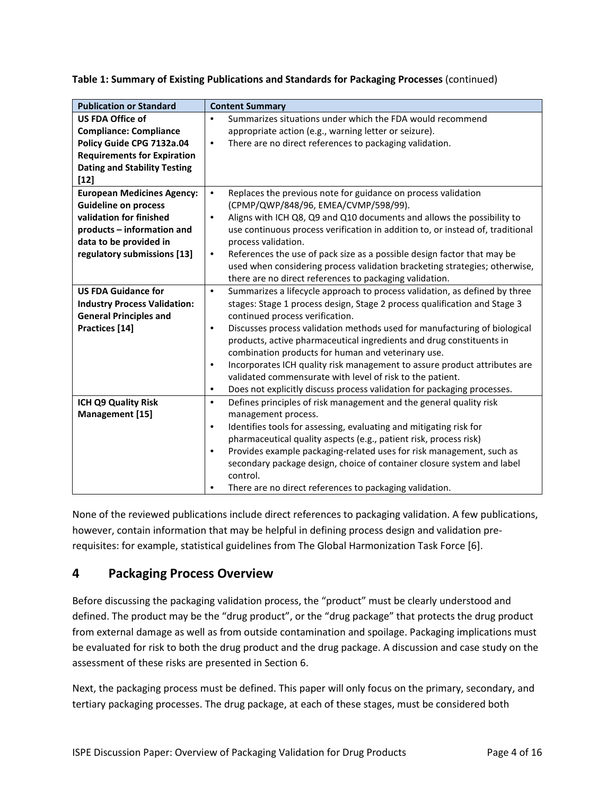| <b>Publication or Standard</b>      | <b>Content Summary</b>                                                                  |  |  |  |  |
|-------------------------------------|-----------------------------------------------------------------------------------------|--|--|--|--|
| <b>US FDA Office of</b>             | Summarizes situations under which the FDA would recommend<br>$\bullet$                  |  |  |  |  |
| <b>Compliance: Compliance</b>       | appropriate action (e.g., warning letter or seizure).                                   |  |  |  |  |
| Policy Guide CPG 7132a.04           | There are no direct references to packaging validation.<br>$\bullet$                    |  |  |  |  |
| <b>Requirements for Expiration</b>  |                                                                                         |  |  |  |  |
| <b>Dating and Stability Testing</b> |                                                                                         |  |  |  |  |
| $[12]$                              |                                                                                         |  |  |  |  |
| <b>European Medicines Agency:</b>   | $\bullet$<br>Replaces the previous note for guidance on process validation              |  |  |  |  |
| <b>Guideline on process</b>         | (CPMP/QWP/848/96, EMEA/CVMP/598/99).                                                    |  |  |  |  |
| validation for finished             | Aligns with ICH Q8, Q9 and Q10 documents and allows the possibility to<br>$\bullet$     |  |  |  |  |
| products - information and          | use continuous process verification in addition to, or instead of, traditional          |  |  |  |  |
| data to be provided in              | process validation.                                                                     |  |  |  |  |
| regulatory submissions [13]         | References the use of pack size as a possible design factor that may be<br>$\bullet$    |  |  |  |  |
|                                     | used when considering process validation bracketing strategies; otherwise,              |  |  |  |  |
|                                     | there are no direct references to packaging validation.                                 |  |  |  |  |
| <b>US FDA Guidance for</b>          | Summarizes a lifecycle approach to process validation, as defined by three<br>$\bullet$ |  |  |  |  |
| <b>Industry Process Validation:</b> | stages: Stage 1 process design, Stage 2 process qualification and Stage 3               |  |  |  |  |
| <b>General Principles and</b>       | continued process verification.                                                         |  |  |  |  |
| Practices [14]                      | Discusses process validation methods used for manufacturing of biological<br>$\bullet$  |  |  |  |  |
|                                     | products, active pharmaceutical ingredients and drug constituents in                    |  |  |  |  |
|                                     | combination products for human and veterinary use.                                      |  |  |  |  |
|                                     | Incorporates ICH quality risk management to assure product attributes are<br>$\bullet$  |  |  |  |  |
|                                     | validated commensurate with level of risk to the patient.                               |  |  |  |  |
|                                     | Does not explicitly discuss process validation for packaging processes.<br>$\bullet$    |  |  |  |  |
| ICH Q9 Quality Risk                 | Defines principles of risk management and the general quality risk<br>$\bullet$         |  |  |  |  |
| Management [15]                     | management process.                                                                     |  |  |  |  |
|                                     | Identifies tools for assessing, evaluating and mitigating risk for<br>$\bullet$         |  |  |  |  |
|                                     | pharmaceutical quality aspects (e.g., patient risk, process risk)                       |  |  |  |  |
|                                     | Provides example packaging-related uses for risk management, such as<br>$\bullet$       |  |  |  |  |
|                                     | secondary package design, choice of container closure system and label                  |  |  |  |  |
|                                     | control.                                                                                |  |  |  |  |
|                                     | There are no direct references to packaging validation.                                 |  |  |  |  |

**Table 1: Summary of Existing Publications and Standards for Packaging Processes** (continued)

None of the reviewed publications include direct references to packaging validation. A few publications, however, contain information that may be helpful in defining process design and validation prerequisites: for example, statistical guidelines from The Global Harmonization Task Force [6].

#### **4 Packaging Process Overview**

Before discussing the packaging validation process, the "product" must be clearly understood and defined. The product may be the "drug product", or the "drug package" that protects the drug product from external damage as well as from outside contamination and spoilage. Packaging implications must be evaluated for risk to both the drug product and the drug package. A discussion and case study on the assessment of these risks are presented in Section 6.

Next, the packaging process must be defined. This paper will only focus on the primary, secondary, and tertiary packaging processes. The drug package, at each of these stages, must be considered both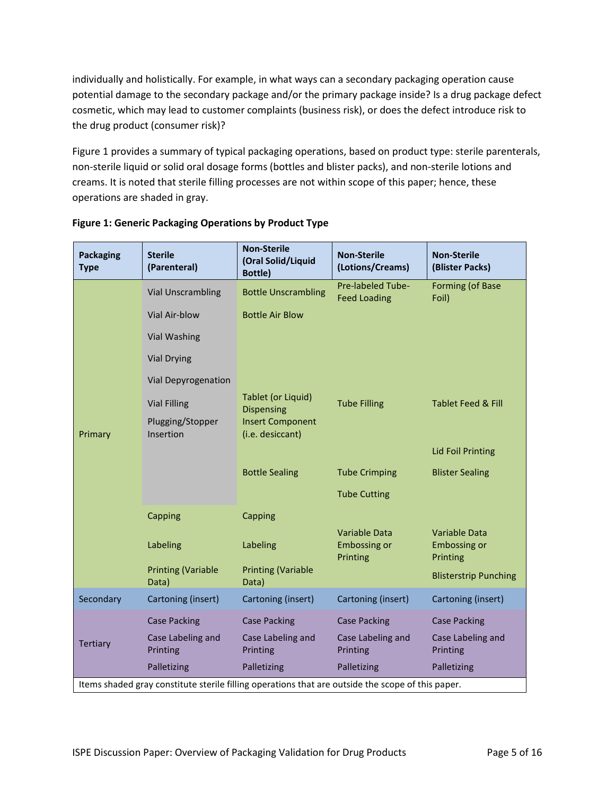individually and holistically. For example, in what ways can a secondary packaging operation cause potential damage to the secondary package and/or the primary package inside? Is a drug package defect cosmetic, which may lead to customer complaints (business risk), or does the defect introduce risk to the drug product (consumer risk)?

Figure 1 provides a summary of typical packaging operations, based on product type: sterile parenterals, non-sterile liquid or solid oral dosage forms (bottles and blister packs), and non-sterile lotions and creams. It is noted that sterile filling processes are not within scope of this paper; hence, these operations are shaded in gray.

| <b>Packaging</b><br><b>Type</b>                                                                   | <b>Sterile</b><br>(Parenteral)     | <b>Non-Sterile</b><br>(Oral Solid/Liquid<br>Bottle) | <b>Non-Sterile</b><br>(Lotions/Creams)           | <b>Non-Sterile</b><br>(Blister Packs)            |  |
|---------------------------------------------------------------------------------------------------|------------------------------------|-----------------------------------------------------|--------------------------------------------------|--------------------------------------------------|--|
|                                                                                                   | <b>Vial Unscrambling</b>           | <b>Bottle Unscrambling</b>                          | Pre-labeled Tube-<br><b>Feed Loading</b>         | Forming (of Base<br>Foil)                        |  |
|                                                                                                   | Vial Air-blow                      | <b>Bottle Air Blow</b>                              |                                                  |                                                  |  |
|                                                                                                   | Vial Washing                       |                                                     |                                                  |                                                  |  |
|                                                                                                   | <b>Vial Drying</b>                 |                                                     |                                                  |                                                  |  |
|                                                                                                   | Vial Depyrogenation                |                                                     |                                                  |                                                  |  |
|                                                                                                   | <b>Vial Filling</b>                | Tablet (or Liquid)<br><b>Dispensing</b>             | <b>Tube Filling</b>                              | <b>Tablet Feed &amp; Fill</b>                    |  |
| Primary                                                                                           | Plugging/Stopper<br>Insertion      | <b>Insert Component</b><br>(i.e. desiccant)         |                                                  |                                                  |  |
|                                                                                                   |                                    |                                                     |                                                  | <b>Lid Foil Printing</b>                         |  |
|                                                                                                   |                                    | <b>Bottle Sealing</b>                               | <b>Tube Crimping</b>                             | <b>Blister Sealing</b>                           |  |
|                                                                                                   |                                    |                                                     | <b>Tube Cutting</b>                              |                                                  |  |
|                                                                                                   | Capping                            | Capping                                             |                                                  |                                                  |  |
|                                                                                                   | Labeling                           | Labeling                                            | Variable Data<br><b>Embossing or</b><br>Printing | Variable Data<br><b>Embossing or</b><br>Printing |  |
|                                                                                                   | <b>Printing (Variable</b><br>Data) | <b>Printing (Variable</b><br>Data)                  |                                                  | <b>Blisterstrip Punching</b>                     |  |
| Secondary                                                                                         | Cartoning (insert)                 | Cartoning (insert)                                  | Cartoning (insert)                               | Cartoning (insert)                               |  |
|                                                                                                   | <b>Case Packing</b>                | <b>Case Packing</b>                                 | <b>Case Packing</b>                              | <b>Case Packing</b>                              |  |
| <b>Tertiary</b>                                                                                   | Case Labeling and<br>Printing      | Case Labeling and<br>Printing                       | Case Labeling and<br>Printing                    | Case Labeling and<br>Printing                    |  |
|                                                                                                   | Palletizing                        | Palletizing                                         | Palletizing                                      | Palletizing                                      |  |
| Items shaded gray constitute sterile filling operations that are outside the scope of this paper. |                                    |                                                     |                                                  |                                                  |  |

#### **Figure 1: Generic Packaging Operations by Product Type**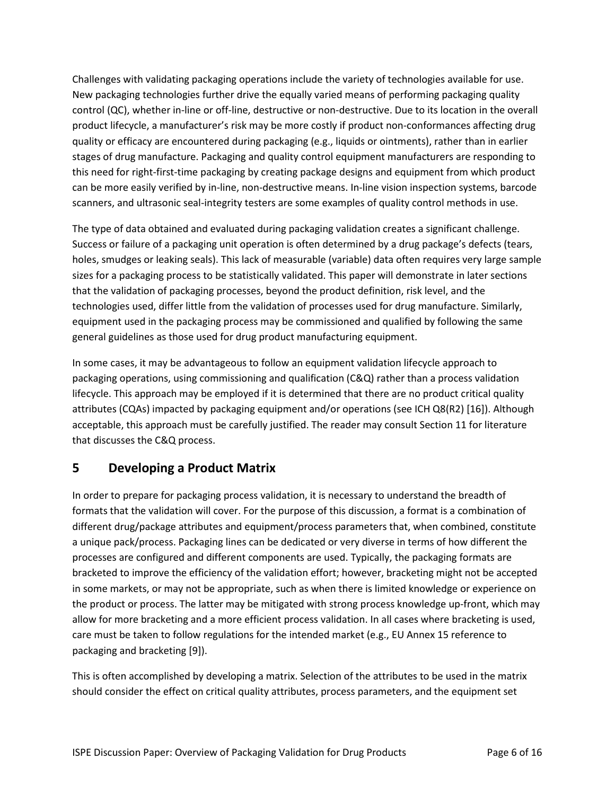Challenges with validating packaging operations include the variety of technologies available for use. New packaging technologies further drive the equally varied means of performing packaging quality control (QC), whether in-line or off-line, destructive or non-destructive. Due to its location in the overall product lifecycle, a manufacturer's risk may be more costly if product non-conformances affecting drug quality or efficacy are encountered during packaging (e.g., liquids or ointments), rather than in earlier stages of drug manufacture. Packaging and quality control equipment manufacturers are responding to this need for right-first-time packaging by creating package designs and equipment from which product can be more easily verified by in-line, non-destructive means. In-line vision inspection systems, barcode scanners, and ultrasonic seal-integrity testers are some examples of quality control methods in use.

The type of data obtained and evaluated during packaging validation creates a significant challenge. Success or failure of a packaging unit operation is often determined by a drug package's defects (tears, holes, smudges or leaking seals). This lack of measurable (variable) data often requires very large sample sizes for a packaging process to be statistically validated. This paper will demonstrate in later sections that the validation of packaging processes, beyond the product definition, risk level, and the technologies used, differ little from the validation of processes used for drug manufacture. Similarly, equipment used in the packaging process may be commissioned and qualified by following the same general guidelines as those used for drug product manufacturing equipment.

In some cases, it may be advantageous to follow an equipment validation lifecycle approach to packaging operations, using commissioning and qualification (C&Q) rather than a process validation lifecycle. This approach may be employed if it is determined that there are no product critical quality attributes (CQAs) impacted by packaging equipment and/or operations (see ICH Q8(R2) [16]). Although acceptable, this approach must be carefully justified. The reader may consult Section 11 for literature that discusses the C&Q process.

### **5 Developing a Product Matrix**

In order to prepare for packaging process validation, it is necessary to understand the breadth of formats that the validation will cover. For the purpose of this discussion, a format is a combination of different drug/package attributes and equipment/process parameters that, when combined, constitute a unique pack/process. Packaging lines can be dedicated or very diverse in terms of how different the processes are configured and different components are used. Typically, the packaging formats are bracketed to improve the efficiency of the validation effort; however, bracketing might not be accepted in some markets, or may not be appropriate, such as when there is limited knowledge or experience on the product or process. The latter may be mitigated with strong process knowledge up-front, which may allow for more bracketing and a more efficient process validation. In all cases where bracketing is used, care must be taken to follow regulations for the intended market (e.g., EU Annex 15 reference to packaging and bracketing [9]).

This is often accomplished by developing a matrix. Selection of the attributes to be used in the matrix should consider the effect on critical quality attributes, process parameters, and the equipment set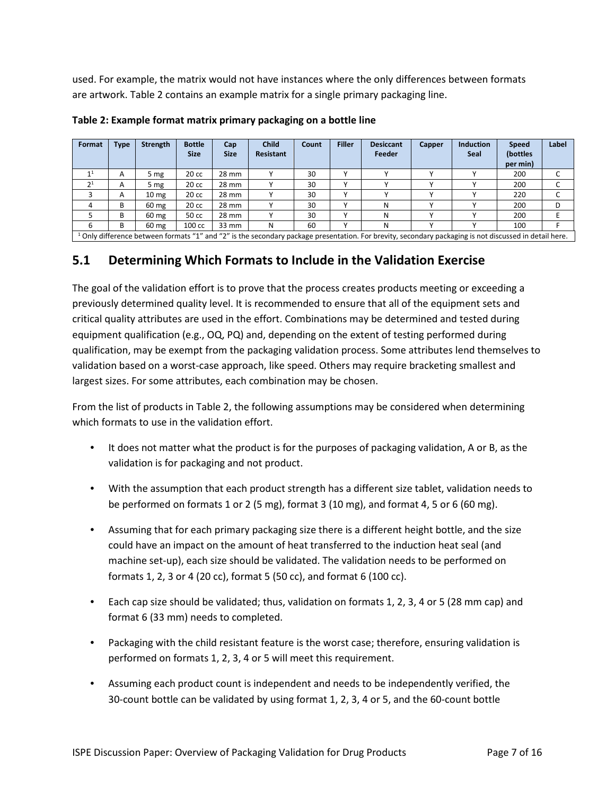used. For example, the matrix would not have instances where the only differences between formats are artwork. Table 2 contains an example matrix for a single primary packaging line.

| Format                                                                                                                                                            | <b>Type</b> | <b>Strength</b>  | <b>Bottle</b><br><b>Size</b> | Cap<br><b>Size</b> | <b>Child</b><br><b>Resistant</b> | Count | <b>Filler</b> | <b>Desiccant</b><br>Feeder | Capper | <b>Induction</b><br><b>Seal</b> | Speed<br>(bottles<br>per min) | Label |
|-------------------------------------------------------------------------------------------------------------------------------------------------------------------|-------------|------------------|------------------------------|--------------------|----------------------------------|-------|---------------|----------------------------|--------|---------------------------------|-------------------------------|-------|
| 11                                                                                                                                                                | A           | 5 mg             | 20 cc                        | 28 mm              |                                  | 30    |               |                            |        |                                 | 200                           |       |
| 2 <sup>1</sup>                                                                                                                                                    | A           | 5 mg             | 20 cc                        | 28 mm              |                                  | 30    |               |                            |        |                                 | 200                           |       |
|                                                                                                                                                                   | A           | 10 <sub>mg</sub> | $20 \text{ cc}$              | 28 mm              |                                  | 30    |               |                            |        |                                 | 220                           |       |
|                                                                                                                                                                   | B           | $60 \text{ mg}$  | $20 \text{ cc}$              | 28 mm              |                                  | 30    |               | N                          |        |                                 | 200                           | D     |
|                                                                                                                                                                   | B           | $60 \text{ mg}$  | 50 cc                        | 28 mm              |                                  | 30    |               | N                          |        |                                 | 200                           |       |
|                                                                                                                                                                   | B           | 60 mg            | 100 cc                       | 33 mm              | N                                | 60    |               | N                          |        |                                 | 100                           |       |
| <sup>1</sup> Only difference between formats "1" and "2" is the secondary package presentation. For brevity, secondary packaging is not discussed in detail here. |             |                  |                              |                    |                                  |       |               |                            |        |                                 |                               |       |

**Table 2: Example format matrix primary packaging on a bottle line**

# **5.1 Determining Which Formats to Include in the Validation Exercise**

The goal of the validation effort is to prove that the process creates products meeting or exceeding a previously determined quality level. It is recommended to ensure that all of the equipment sets and critical quality attributes are used in the effort. Combinations may be determined and tested during equipment qualification (e.g., OQ, PQ) and, depending on the extent of testing performed during qualification, may be exempt from the packaging validation process. Some attributes lend themselves to validation based on a worst-case approach, like speed. Others may require bracketing smallest and largest sizes. For some attributes, each combination may be chosen.

From the list of products in Table 2, the following assumptions may be considered when determining which formats to use in the validation effort.

- It does not matter what the product is for the purposes of packaging validation, A or B, as the validation is for packaging and not product.
- With the assumption that each product strength has a different size tablet, validation needs to be performed on formats 1 or 2 (5 mg), format 3 (10 mg), and format 4, 5 or 6 (60 mg).
- Assuming that for each primary packaging size there is a different height bottle, and the size could have an impact on the amount of heat transferred to the induction heat seal (and machine set-up), each size should be validated. The validation needs to be performed on formats 1, 2, 3 or 4 (20 cc), format 5 (50 cc), and format 6 (100 cc).
- Each cap size should be validated; thus, validation on formats 1, 2, 3, 4 or 5 (28 mm cap) and format 6 (33 mm) needs to completed.
- Packaging with the child resistant feature is the worst case; therefore, ensuring validation is performed on formats 1, 2, 3, 4 or 5 will meet this requirement.
- Assuming each product count is independent and needs to be independently verified, the 30-count bottle can be validated by using format 1, 2, 3, 4 or 5, and the 60-count bottle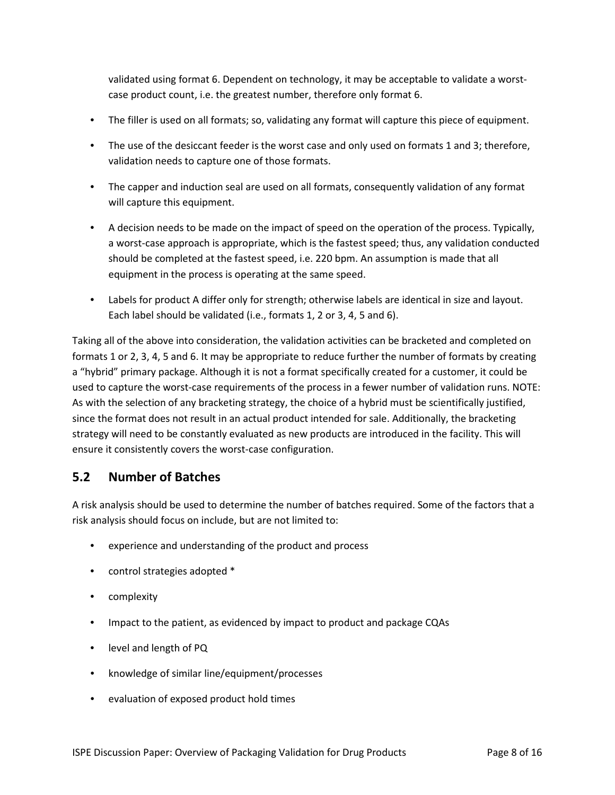validated using format 6. Dependent on technology, it may be acceptable to validate a worstcase product count, i.e. the greatest number, therefore only format 6.

- The filler is used on all formats; so, validating any format will capture this piece of equipment.
- The use of the desiccant feeder is the worst case and only used on formats 1 and 3; therefore, validation needs to capture one of those formats.
- The capper and induction seal are used on all formats, consequently validation of any format will capture this equipment.
- A decision needs to be made on the impact of speed on the operation of the process. Typically, a worst-case approach is appropriate, which is the fastest speed; thus, any validation conducted should be completed at the fastest speed, i.e. 220 bpm. An assumption is made that all equipment in the process is operating at the same speed.
- Labels for product A differ only for strength; otherwise labels are identical in size and layout. Each label should be validated (i.e., formats 1, 2 or 3, 4, 5 and 6).

Taking all of the above into consideration, the validation activities can be bracketed and completed on formats 1 or 2, 3, 4, 5 and 6. It may be appropriate to reduce further the number of formats by creating a "hybrid" primary package. Although it is not a format specifically created for a customer, it could be used to capture the worst-case requirements of the process in a fewer number of validation runs. NOTE: As with the selection of any bracketing strategy, the choice of a hybrid must be scientifically justified, since the format does not result in an actual product intended for sale. Additionally, the bracketing strategy will need to be constantly evaluated as new products are introduced in the facility. This will ensure it consistently covers the worst-case configuration.

#### **5.2 Number of Batches**

A risk analysis should be used to determine the number of batches required. Some of the factors that a risk analysis should focus on include, but are not limited to:

- experience and understanding of the product and process
- control strategies adopted \*
- complexity
- Impact to the patient, as evidenced by impact to product and package CQAs
- level and length of PQ
- knowledge of similar line/equipment/processes
- evaluation of exposed product hold times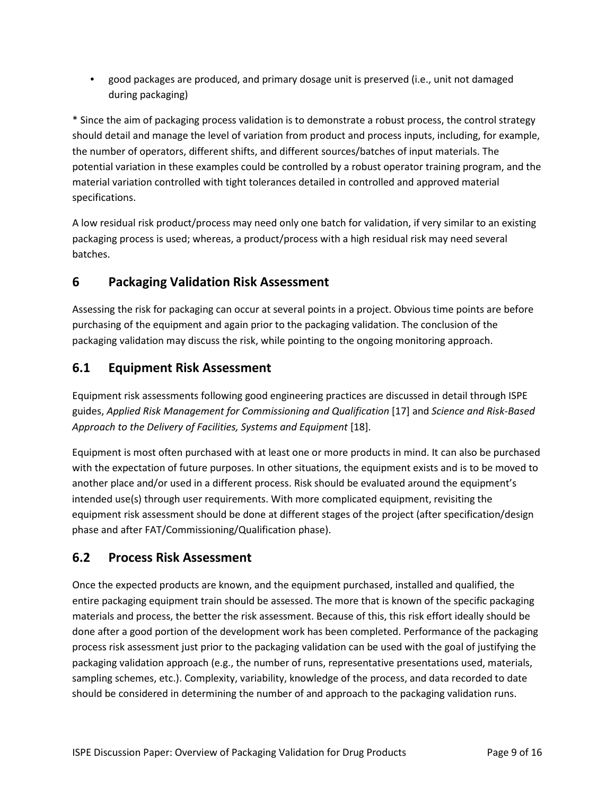• good packages are produced, and primary dosage unit is preserved (i.e., unit not damaged during packaging)

\* Since the aim of packaging process validation is to demonstrate a robust process, the control strategy should detail and manage the level of variation from product and process inputs, including, for example, the number of operators, different shifts, and different sources/batches of input materials. The potential variation in these examples could be controlled by a robust operator training program, and the material variation controlled with tight tolerances detailed in controlled and approved material specifications.

A low residual risk product/process may need only one batch for validation, if very similar to an existing packaging process is used; whereas, a product/process with a high residual risk may need several batches.

# **6 Packaging Validation Risk Assessment**

Assessing the risk for packaging can occur at several points in a project. Obvious time points are before purchasing of the equipment and again prior to the packaging validation. The conclusion of the packaging validation may discuss the risk, while pointing to the ongoing monitoring approach.

## **6.1 Equipment Risk Assessment**

Equipment risk assessments following good engineering practices are discussed in detail through ISPE guides, *Applied Risk Management for Commissioning and Qualification* [17] and *Science and Risk-Based Approach to the Delivery of Facilities, Systems and Equipment* [18].

Equipment is most often purchased with at least one or more products in mind. It can also be purchased with the expectation of future purposes. In other situations, the equipment exists and is to be moved to another place and/or used in a different process. Risk should be evaluated around the equipment's intended use(s) through user requirements. With more complicated equipment, revisiting the equipment risk assessment should be done at different stages of the project (after specification/design phase and after FAT/Commissioning/Qualification phase).

### **6.2 Process Risk Assessment**

Once the expected products are known, and the equipment purchased, installed and qualified, the entire packaging equipment train should be assessed. The more that is known of the specific packaging materials and process, the better the risk assessment. Because of this, this risk effort ideally should be done after a good portion of the development work has been completed. Performance of the packaging process risk assessment just prior to the packaging validation can be used with the goal of justifying the packaging validation approach (e.g., the number of runs, representative presentations used, materials, sampling schemes, etc.). Complexity, variability, knowledge of the process, and data recorded to date should be considered in determining the number of and approach to the packaging validation runs.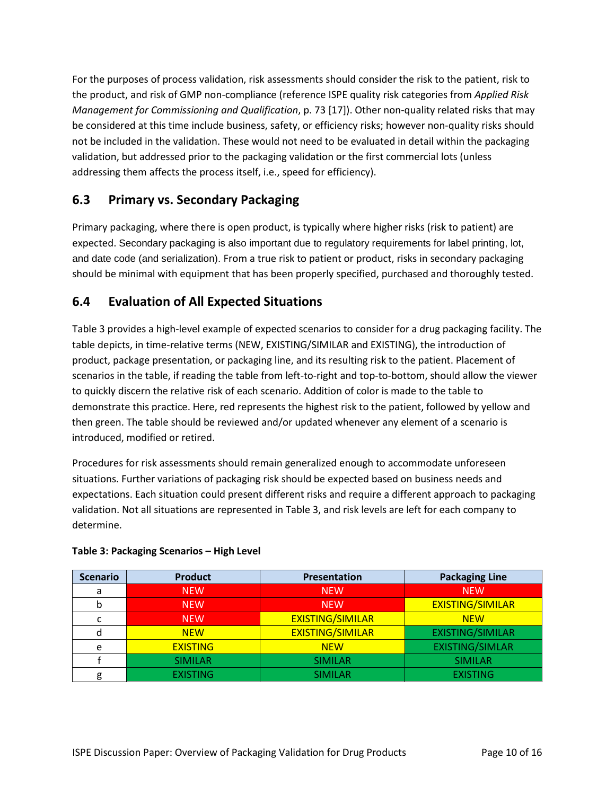For the purposes of process validation, risk assessments should consider the risk to the patient, risk to the product, and risk of GMP non-compliance (reference ISPE quality risk categories from *Applied Risk Management for Commissioning and Qualification*, p. 73 [17]). Other non-quality related risks that may be considered at this time include business, safety, or efficiency risks; however non-quality risks should not be included in the validation. These would not need to be evaluated in detail within the packaging validation, but addressed prior to the packaging validation or the first commercial lots (unless addressing them affects the process itself, i.e., speed for efficiency).

#### **6.3 Primary vs. Secondary Packaging**

Primary packaging, where there is open product, is typically where higher risks (risk to patient) are expected. Secondary packaging is also important due to regulatory requirements for label printing, lot, and date code (and serialization). From a true risk to patient or product, risks in secondary packaging should be minimal with equipment that has been properly specified, purchased and thoroughly tested.

#### **6.4 Evaluation of All Expected Situations**

Table 3 provides a high-level example of expected scenarios to consider for a drug packaging facility. The table depicts, in time-relative terms (NEW, EXISTING/SIMILAR and EXISTING), the introduction of product, package presentation, or packaging line, and its resulting risk to the patient. Placement of scenarios in the table, if reading the table from left-to-right and top-to-bottom, should allow the viewer to quickly discern the relative risk of each scenario. Addition of color is made to the table to demonstrate this practice. Here, red represents the highest risk to the patient, followed by yellow and then green. The table should be reviewed and/or updated whenever any element of a scenario is introduced, modified or retired.

Procedures for risk assessments should remain generalized enough to accommodate unforeseen situations. Further variations of packaging risk should be expected based on business needs and expectations. Each situation could present different risks and require a different approach to packaging validation. Not all situations are represented in Table 3, and risk levels are left for each company to determine.

| <b>Scenario</b> | <b>Product</b>  | <b>Presentation</b>     | <b>Packaging Line</b>   |
|-----------------|-----------------|-------------------------|-------------------------|
| a               | <b>NEW</b>      | <b>NEW</b>              | <b>NEW</b>              |
| b               | <b>NEW</b>      | <b>NFW</b>              | <b>EXISTING/SIMILAR</b> |
|                 | <b>NEW</b>      | <b>EXISTING/SIMILAR</b> | <b>NFW</b>              |
| d               | <b>NEW</b>      | <b>EXISTING/SIMILAR</b> | <b>EXISTING/SIMILAR</b> |
| e               | <b>EXISTING</b> | <b>NEW</b>              | <b>EXISTING/SIMLAR</b>  |
|                 | <b>SIMILAR</b>  | <b>SIMILAR</b>          | <b>SIMILAR</b>          |
| g               | <b>EXISTING</b> | <b>SIMILAR</b>          | <b>EXISTING</b>         |

#### **Table 3: Packaging Scenarios – High Level**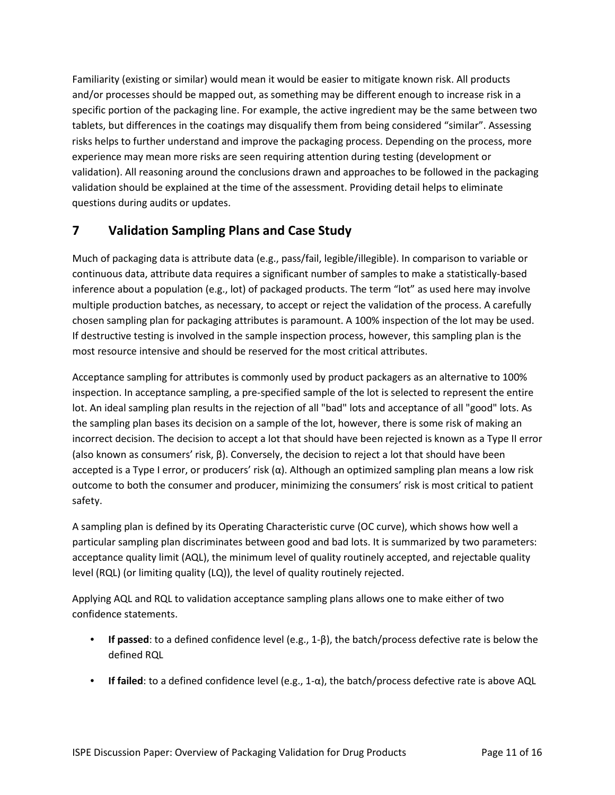Familiarity (existing or similar) would mean it would be easier to mitigate known risk. All products and/or processes should be mapped out, as something may be different enough to increase risk in a specific portion of the packaging line. For example, the active ingredient may be the same between two tablets, but differences in the coatings may disqualify them from being considered "similar". Assessing risks helps to further understand and improve the packaging process. Depending on the process, more experience may mean more risks are seen requiring attention during testing (development or validation). All reasoning around the conclusions drawn and approaches to be followed in the packaging validation should be explained at the time of the assessment. Providing detail helps to eliminate questions during audits or updates.

#### **7 Validation Sampling Plans and Case Study**

Much of packaging data is attribute data (e.g., pass/fail, legible/illegible). In comparison to variable or continuous data, attribute data requires a significant number of samples to make a statistically-based inference about a population (e.g., lot) of packaged products. The term "lot" as used here may involve multiple production batches, as necessary, to accept or reject the validation of the process. A carefully chosen sampling plan for packaging attributes is paramount. A 100% inspection of the lot may be used. If destructive testing is involved in the sample inspection process, however, this sampling plan is the most resource intensive and should be reserved for the most critical attributes.

Acceptance sampling for attributes is commonly used by product packagers as an alternative to 100% inspection. In acceptance sampling, a pre-specified sample of the lot is selected to represent the entire lot. An ideal sampling plan results in the rejection of all "bad" lots and acceptance of all "good" lots. As the sampling plan bases its decision on a sample of the lot, however, there is some risk of making an incorrect decision. The decision to accept a lot that should have been rejected is known as a Type II error (also known as consumers' risk, β). Conversely, the decision to reject a lot that should have been accepted is a Type I error, or producers' risk  $(α)$ . Although an optimized sampling plan means a low risk outcome to both the consumer and producer, minimizing the consumers' risk is most critical to patient safety.

A sampling plan is defined by its Operating Characteristic curve (OC curve), which shows how well a particular sampling plan discriminates between good and bad lots. It is summarized by two parameters: acceptance quality limit (AQL), the minimum level of quality routinely accepted, and rejectable quality level (RQL) (or limiting quality (LQ)), the level of quality routinely rejected.

Applying AQL and RQL to validation acceptance sampling plans allows one to make either of two confidence statements.

- **If passed**: to a defined confidence level (e.g., 1-β), the batch/process defective rate is below the defined RQL
- **If failed**: to a defined confidence level (e.g., 1-α), the batch/process defective rate is above AQL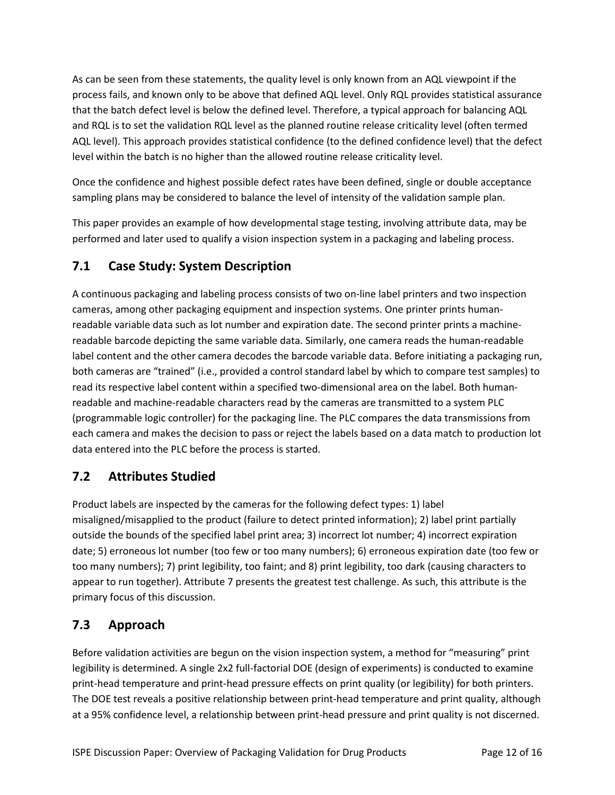As can be seen from these statements, the quality level is only known from an AQL viewpoint if the process fails, and known only to be above that defined AQL level. Only RQL provides statistical assurance that the batch defect level is below the defined level. Therefore, a typical approach for balancing AQL and RQL is to set the validation RQL level as the planned routine release criticality level (often termed AQL level). This approach provides statistical confidence (to the defined confidence level) that the defect level within the batch is no higher than the allowed routine release criticality level.

Once the confidence and highest possible defect rates have been defined, single or double acceptance sampling plans may be considered to balance the level of intensity of the validation sample plan.

This paper provides an example of how developmental stage testing, involving attribute data, may be performed and later used to qualify a vision inspection system in a packaging and labeling process.

# **7.1 Case Study: System Description**

A continuous packaging and labeling process consists of two on-line label printers and two inspection cameras, among other packaging equipment and inspection systems. One printer prints humanreadable variable data such as lot number and expiration date. The second printer prints a machinereadable barcode depicting the same variable data. Similarly, one camera reads the human-readable label content and the other camera decodes the barcode variable data. Before initiating a packaging run, both cameras are "trained" (i.e., provided a control standard label by which to compare test samples) to read its respective label content within a specified two-dimensional area on the label. Both humanreadable and machine-readable characters read by the cameras are transmitted to a system PLC (programmable logic controller) for the packaging line. The PLC compares the data transmissions from each camera and makes the decision to pass or reject the labels based on a data match to production lot data entered into the PLC before the process is started.

### **7.2 Attributes Studied**

Product labels are inspected by the cameras for the following defect types: 1) label misaligned/misapplied to the product (failure to detect printed information); 2) label print partially outside the bounds of the specified label print area; 3) incorrect lot number; 4) incorrect expiration date; 5) erroneous lot number (too few or too many numbers); 6) erroneous expiration date (too few or too many numbers); 7) print legibility, too faint; and 8) print legibility, too dark (causing characters to appear to run together). Attribute 7 presents the greatest test challenge. As such, this attribute is the primary focus of this discussion.

# **7.3 Approach**

Before validation activities are begun on the vision inspection system, a method for "measuring" print legibility is determined. A single 2x2 full-factorial DOE (design of experiments) is conducted to examine print-head temperature and print-head pressure effects on print quality (or legibility) for both printers. The DOE test reveals a positive relationship between print-head temperature and print quality, although at a 95% confidence level, a relationship between print-head pressure and print quality is not discerned.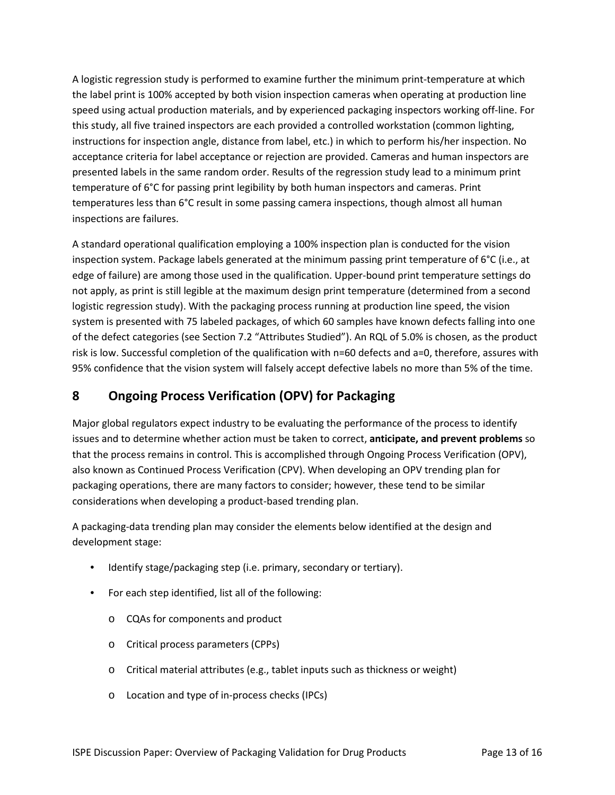A logistic regression study is performed to examine further the minimum print-temperature at which the label print is 100% accepted by both vision inspection cameras when operating at production line speed using actual production materials, and by experienced packaging inspectors working off-line. For this study, all five trained inspectors are each provided a controlled workstation (common lighting, instructions for inspection angle, distance from label, etc.) in which to perform his/her inspection. No acceptance criteria for label acceptance or rejection are provided. Cameras and human inspectors are presented labels in the same random order. Results of the regression study lead to a minimum print temperature of 6°C for passing print legibility by both human inspectors and cameras. Print temperatures less than 6°C result in some passing camera inspections, though almost all human inspections are failures.

A standard operational qualification employing a 100% inspection plan is conducted for the vision inspection system. Package labels generated at the minimum passing print temperature of 6°C (i.e., at edge of failure) are among those used in the qualification. Upper-bound print temperature settings do not apply, as print is still legible at the maximum design print temperature (determined from a second logistic regression study). With the packaging process running at production line speed, the vision system is presented with 75 labeled packages, of which 60 samples have known defects falling into one of the defect categories (see Section 7.2 "Attributes Studied"). An RQL of 5.0% is chosen, as the product risk is low. Successful completion of the qualification with n=60 defects and a=0, therefore, assures with 95% confidence that the vision system will falsely accept defective labels no more than 5% of the time.

## **8 Ongoing Process Verification (OPV) for Packaging**

Major global regulators expect industry to be evaluating the performance of the process to identify issues and to determine whether action must be taken to correct, **anticipate, and prevent problems** so that the process remains in control. This is accomplished through Ongoing Process Verification (OPV), also known as Continued Process Verification (CPV). When developing an OPV trending plan for packaging operations, there are many factors to consider; however, these tend to be similar considerations when developing a product-based trending plan.

A packaging-data trending plan may consider the elements below identified at the design and development stage:

- Identify stage/packaging step (i.e. primary, secondary or tertiary).
- For each step identified, list all of the following:
	- o CQAs for components and product
	- o Critical process parameters (CPPs)
	- o Critical material attributes (e.g., tablet inputs such as thickness or weight)
	- o Location and type of in-process checks (IPCs)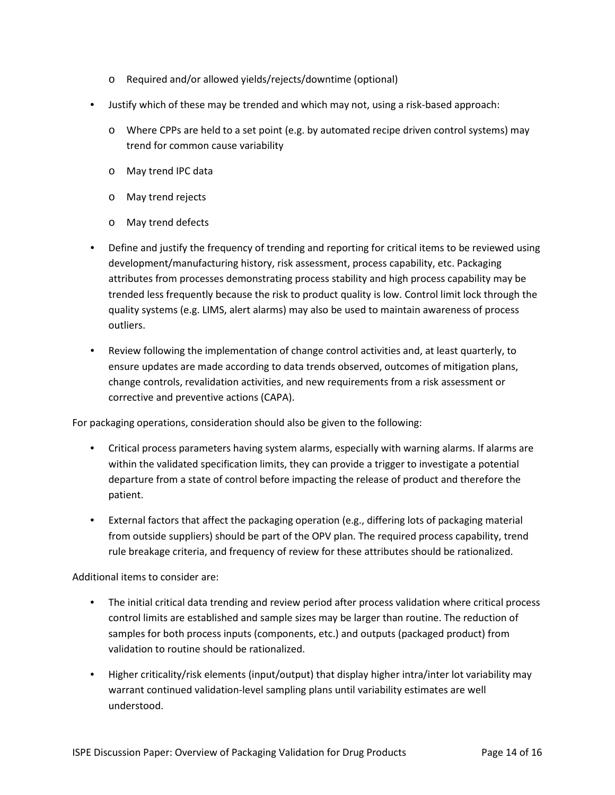- o Required and/or allowed yields/rejects/downtime (optional)
- Justify which of these may be trended and which may not, using a risk-based approach:
	- o Where CPPs are held to a set point (e.g. by automated recipe driven control systems) may trend for common cause variability
	- o May trend IPC data
	- o May trend rejects
	- o May trend defects
- Define and justify the frequency of trending and reporting for critical items to be reviewed using development/manufacturing history, risk assessment, process capability, etc. Packaging attributes from processes demonstrating process stability and high process capability may be trended less frequently because the risk to product quality is low. Control limit lock through the quality systems (e.g. LIMS, alert alarms) may also be used to maintain awareness of process outliers.
- Review following the implementation of change control activities and, at least quarterly, to ensure updates are made according to data trends observed, outcomes of mitigation plans, change controls, revalidation activities, and new requirements from a risk assessment or corrective and preventive actions (CAPA).

For packaging operations, consideration should also be given to the following:

- Critical process parameters having system alarms, especially with warning alarms. If alarms are within the validated specification limits, they can provide a trigger to investigate a potential departure from a state of control before impacting the release of product and therefore the patient.
- External factors that affect the packaging operation (e.g., differing lots of packaging material from outside suppliers) should be part of the OPV plan. The required process capability, trend rule breakage criteria, and frequency of review for these attributes should be rationalized.

Additional items to consider are:

- The initial critical data trending and review period after process validation where critical process control limits are established and sample sizes may be larger than routine. The reduction of samples for both process inputs (components, etc.) and outputs (packaged product) from validation to routine should be rationalized.
- Higher criticality/risk elements (input/output) that display higher intra/inter lot variability may warrant continued validation-level sampling plans until variability estimates are well understood.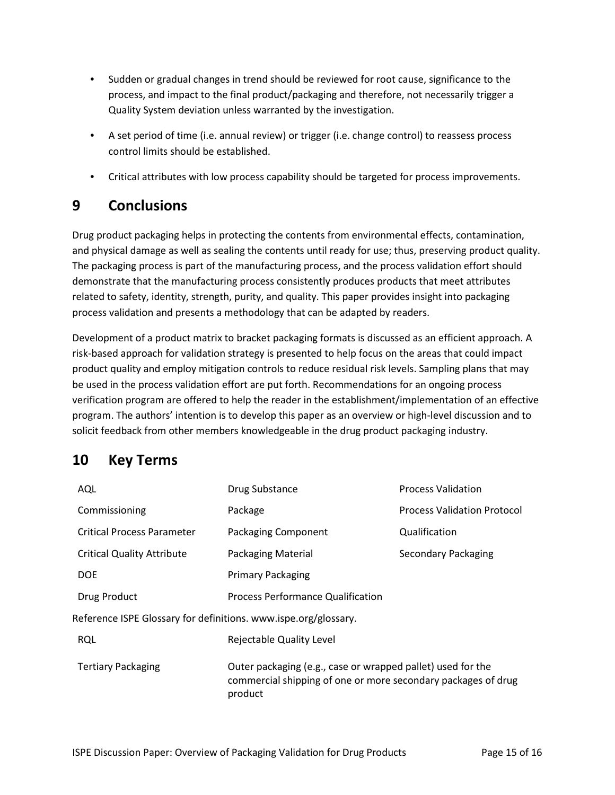- Sudden or gradual changes in trend should be reviewed for root cause, significance to the process, and impact to the final product/packaging and therefore, not necessarily trigger a Quality System deviation unless warranted by the investigation.
- A set period of time (i.e. annual review) or trigger (i.e. change control) to reassess process control limits should be established.
- Critical attributes with low process capability should be targeted for process improvements.

# **9 Conclusions**

Drug product packaging helps in protecting the contents from environmental effects, contamination, and physical damage as well as sealing the contents until ready for use; thus, preserving product quality. The packaging process is part of the manufacturing process, and the process validation effort should demonstrate that the manufacturing process consistently produces products that meet attributes related to safety, identity, strength, purity, and quality. This paper provides insight into packaging process validation and presents a methodology that can be adapted by readers.

Development of a product matrix to bracket packaging formats is discussed as an efficient approach. A risk-based approach for validation strategy is presented to help focus on the areas that could impact product quality and employ mitigation controls to reduce residual risk levels. Sampling plans that may be used in the process validation effort are put forth. Recommendations for an ongoing process verification program are offered to help the reader in the establishment/implementation of an effective program. The authors' intention is to develop this paper as an overview or high-level discussion and to solicit feedback from other members knowledgeable in the drug product packaging industry.

# **10 Key Terms**

| AQL                                                             | Drug Substance                                                                                                                          | <b>Process Validation</b>          |  |  |  |  |
|-----------------------------------------------------------------|-----------------------------------------------------------------------------------------------------------------------------------------|------------------------------------|--|--|--|--|
| Commissioning                                                   | Package                                                                                                                                 | <b>Process Validation Protocol</b> |  |  |  |  |
| <b>Critical Process Parameter</b>                               | <b>Packaging Component</b>                                                                                                              | Qualification                      |  |  |  |  |
| <b>Critical Quality Attribute</b>                               | Packaging Material<br>Secondary Packaging                                                                                               |                                    |  |  |  |  |
| <b>DOE</b>                                                      | <b>Primary Packaging</b>                                                                                                                |                                    |  |  |  |  |
| Drug Product                                                    | <b>Process Performance Qualification</b>                                                                                                |                                    |  |  |  |  |
| Reference ISPE Glossary for definitions. www.ispe.org/glossary. |                                                                                                                                         |                                    |  |  |  |  |
| <b>RQL</b>                                                      | Rejectable Quality Level                                                                                                                |                                    |  |  |  |  |
| <b>Tertiary Packaging</b>                                       | Outer packaging (e.g., case or wrapped pallet) used for the<br>commercial shipping of one or more secondary packages of drug<br>product |                                    |  |  |  |  |